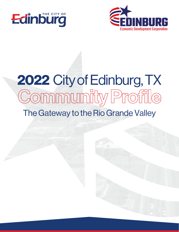



# The Gateway to the Rio Grande Valley 2022 City of Edinburg, TX<br>Community Profile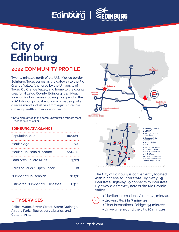## Edinburg



## **City of Edinburg**

#### **2022 COMMUNITY PROFILE**

Twenty minutes north of the U.S.-Mexico border, Edinburg, Texas serves as the gateway to the Rio Grande Valley. Anchored by the University of Texas Rio Grande Valley, and home to the county seat for Hidalgo County, Edinburg is an ideal location for businesses looking to expand in the RGV. Edinburg's local economy is made up of a diverse mix of industries, from agriculture to a growing health and education sector.

\* Data highlighted in the community profile reflects most recent data as of 2021.

#### **EDINBURG AT A GLANCE**

| Population-2021                       | 102,483  |
|---------------------------------------|----------|
| <b>Median Age</b>                     | 29.1     |
| Median Household Income               | \$51,220 |
| <b>Land Area Square Miles</b>         | 37.63    |
| Acres of Parks & Open Space           | 18       |
| <b>Number of Households</b>           | 28,172   |
| <b>Estimated Number of Businesses</b> | 2,314    |
|                                       |          |

#### **CITY SERVICES**

Police, Water, Sewer, Street, Storm Drainage, Airport, Parks, Recreation, Libraries, and Cultural Arts.



The City of Edinburg is conveniently located within access to Interstate Highway 69. Interstate Highway 69 connects to Interstate Highway 2, a freeway across the Rio Grande Valley.

- McAllen International Airport: **23 minutes**
- Brownsville: **1 hr 7 minutes**
	- Pharr International Bridge: **34 minutes**
	- Drive-time around the city: **10 minutes**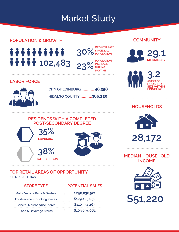### Market Study

**23% DURING** 

**30%**

**GROWTH RATE SINCE 2010 POPULATION** 

**POPULATION INCREASE** 

**DAYTIME**

#### **POPULATION & GROWTH COMMUNITY**

iiiiiiiiii **11111** 102,483

#### **LABOR FORCE**



**CITY OF EDINBURG .............. 48,358 HIDALGO COUNTY..............366,220**

#### **RESIDENTS WITH A COMPLETED POST-SECONDARY DEGREE**





#### **TOP RETAIL AREAS OF OPPORTUNITY**

**STATE OF TEXAS**

**\*EDINBURG, TEXAS**

| <b>STORE TYPE</b>                        | <b>POTENTIAL SALES</b> |               |
|------------------------------------------|------------------------|---------------|
| <b>Motor Vehicle Parts &amp; Dealers</b> |                        | \$250,036,521 |
| <b>Foodservice &amp; Drinking Places</b> |                        | \$129,403,050 |
| <b>General Merchandise Stores</b>        |                        | \$110,354,463 |
| <b>Food &amp; Beverage Stores</b>        |                        | \$103,694,062 |





#### **HOUSEHOLDS**





#### **MEDIAN HOUSEHOLD INCOME**



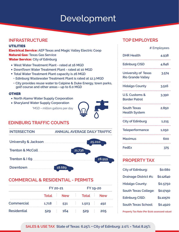### Development

#### **INFRASTRUCTURE**

#### UTILITIES

Electrical Service: **AEP Texas and Magic Valley Electric Coop** Natural Gas: **Texas Gas Service**  Water Service: **City of Edinburg**

- **West Water Treatment Plant rated at 16 MGD**
- **DownTown Water Treatment Plant rated at 10 MGD**
- **Total Water Treatment Plant capacity is 26 MGD**
	- **Edinburg Wastewater Treatment Plant is rated at 12.3 MGD**
	- **City provides reuse water to Calpine & Duke Energy, town parks, golf course and other areas = up to 6.0 MGD**

#### **OTHER**

- **North Alamo Water Supply Corporation**
- **Sharyland Water Supply Corporation**

\*MGD = million gallons per day



#### **EDINBURG TRAFFIC COUNTS**

| <b>INTERSECTION</b> | <b>ANNUAL AVERAGE DAILY TRAFFIC</b> |
|---------------------|-------------------------------------|
|                     | 25,010                              |
|                     | 21,736                              |
|                     | 28,959                              |
| Downtown            | 18.689                              |

#### **COMMERCIAL & RESIDENTIAL - PERMITS**

|                    |     | FY 20-21 |     | FY 19-20                    |  |     |
|--------------------|-----|----------|-----|-----------------------------|--|-----|
|                    |     |          |     | Total New Total New         |  |     |
| <b>Commercial</b>  |     |          |     | $1,718$ $531$ $1,503$ $492$ |  |     |
| <b>Residential</b> | 529 |          | 164 | 529                         |  | 205 |

#### **TOP EMPLOYERS**

|                                                        | # Employees |  |
|--------------------------------------------------------|-------------|--|
| <b>DHR Health</b>                                      | 4,938       |  |
| <b>Edinburg CISD</b>                                   | 4,846       |  |
| <b>University of Texas</b><br><b>Rio Grande Valley</b> | 3,574       |  |
| <b>Hidalgo County</b>                                  | 3,516       |  |
| <b>U.S. Customs &amp;</b><br><b>Border Patrol</b>      | 3,390       |  |
| <b>South Texas</b><br><b>Health System</b>             | 2,850       |  |
| <b>City of Edinburg</b>                                | 1,215       |  |
| <b>Teleperformance</b>                                 | 1,050       |  |
| <b>Maximus</b>                                         | 600         |  |
| <b>FedEx</b>                                           | 375         |  |

#### **PROPERTY TAX**

| <b>City of Edinburg:</b>     | \$0.680   |
|------------------------------|-----------|
| <b>Drainage District #1:</b> | \$0.12640 |
| <b>Hidalgo County:</b>       | \$0.5750  |
| <b>South Texas College:</b>  | \$0.17150 |
| <b>Edinburg CISD:</b>        | \$1.10570 |
| <b>South Texas School:</b>   | \$0.4920  |
|                              |           |

**Property Tax Rate (Per \$100 assessed value)**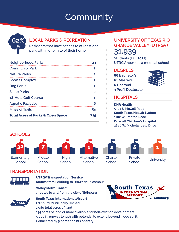## **Community**



#### **LOCAL PARKS & RECREATION**

**Residents that have access to at least one park within one mile of their home**

| <b>Neighborhood Parks</b>                    | 23 |
|----------------------------------------------|----|
| <b>Community Park</b>                        |    |
| <b>Nature Parks</b>                          |    |
| <b>Sports Complex</b>                        | 1  |
| Dog Parks                                    | 1  |
| <b>Skate Parks</b>                           | 2  |
| 18-Hole Golf Course                          | 1  |
| <b>Aquatic Facilities</b>                    | 6  |
| <b>Miles of Trails</b>                       | 65 |
| <b>Total Acres of Parks &amp; Open Space</b> |    |

#### **UNIVERSITY OF TEXAS RIO GRANDE VALLEY (UTRGV) 31,939**

**Students (Fall 2021) UTRGV now has a medical school**

#### **DEGREES**

**86 Bachelor's 61 Master's 6 Doctoral 3 Prof'l Doctorate**



#### **HOSPITALS**

**DHR Health 5501 S. McColl Road South Texas Health System 1102 W. Trenton Road Driscoll Children's Hospital 2820 W. Michelangelo Drive**

#### **SCHOOLS**



**School** 



**School** 



**High School** 



**School** 







**School** University

#### **TRANSPORTATION**



#### **UTRGV Transportation Service Routes from Edinburg to Brownsville campus**

**Valley Metro Transit**

**7 routes to and from the city of Edinburg**

**South Texas International Airport**





**Edinburg Municipally Owned 1,080 total acres of land 134 acres of land or more available for non-aviation development 5,000 ft. runway length with potential to extend beyond 9,000 sq. ft. Connected by 5 border points of entry**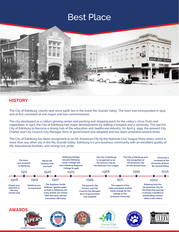### Best Place



#### **HISTORY**

The City of Edinburg, county seat since 1908, lies in the lower Rio Grande Valley. The town was incorporated in 1919 and at first consisted of one mayor and two commissioners.

The city developed as a cotton-ginning center and packing and shipping point for the valley's citrus fruits and vegetables. In 1927, the City of Edinburg had major developments by adding a hospital and a university. This led the City of Edinburg to become a strong hub of the education and healthcare industry. On April 5, 1949, the present City Charter and City Council-City Manager form of government was adopted and has been amended several times.

The City of Edinburg has been recognized as an All-American City by the National Civic league three times, which is more than any other city in the Rio Grande Valley. Edinburg is a pro-business community with an excellent quality of life, educational facilities, and strong civic pride.

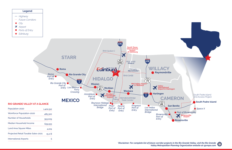Population-2020

Land Area Square Miles

Projected Retail Taxable Sales-2021

International Airports

\$39,553

4,224

15.2 B

5

*Valley Metropolitan Planning Organization website at rgvmpo.com*





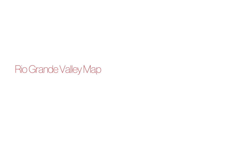## Rio Grande Valley Map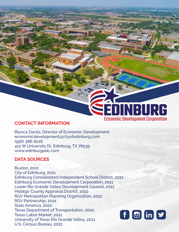## DINBURG **Economic Development Corporation**

#### **CONTACT INFORMATION**

Blanca Davila, Director of Economic Development economicdevelopment@cityofedinburg.com (956) 388-8218 415 W University Dr. Edinburg, TX 78539 www.edinburgedc.com

#### **DATA SOURCES**

Buxton, 2021 City of Edinburg, 2021 Edinburg Consolidated Independent School District, 2021 Edinburg Economic Development Corporation, 2021 Lower Rio Grande Valley Development Council, 2021 Hidalgo County Appraisal District, 2022 RGV Metropolitan Planning Organization, 2022 RGV Partnership, 2021 Stats America, 2022 Texas Department of Transportation, 2020 Texas Labor Market, 2021 University of Texas Rio Grande Valley, 2021 U.S. Census Bureau, 2021